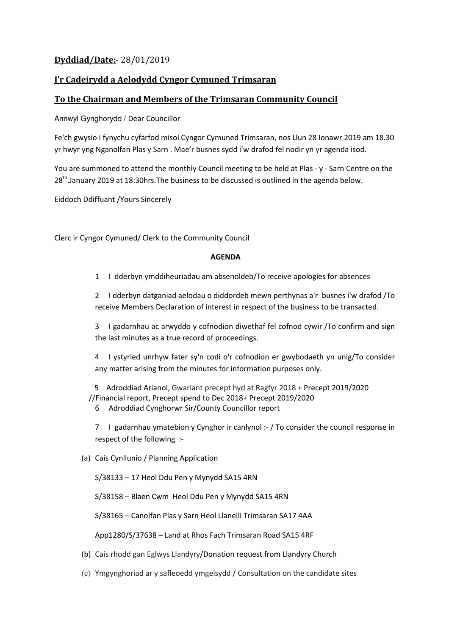## **Dyddiad/Date:**- 28/01/2019

## **I'r Cadeirydd a Aelodydd Cyngor Cymuned Trimsaran**

## **To the Chairman and Members of the Trimsaran Community Council**

Annwyl Gynghorydd / Dear Councillor

Fe'ch gwysio i fynychu cyfarfod misol Cyngor Cymuned Trimsaran, nos Llun 28 Ionawr 2019 am 18.30 yr hwyr yng Nganolfan Plas y Sarn . Mae'r busnes sydd i'w drafod fel nodir yn yr agenda isod.

You are summoned to attend the monthly Council meeting to be held at Plas - y - Sarn Centre on the 28<sup>th</sup>.January 2019 at 18:30hrs. The business to be discussed is outlined in the agenda below.

Eiddoch Ddiffuant /Yours Sincerely

Clerc ir Cyngor Cymuned/ Clerk to the Community Council

## **AGENDA**

1 I dderbyn ymddiheuriadau am absenoldeb/To receive apologies for absences

2 I dderbyn datganiad aelodau o diddordeb mewn perthynas a'r busnes i'w drafod /To receive Members Declaration of interest in respect of the business to be transacted.

3 I gadarnhau ac arwyddo y cofnodion diwethaf fel cofnod cywir /To confirm and sign the last minutes as a true record of proceedings.

4 I ystyried unrhyw fater sy'n codi o'r cofnodion er gwybodaeth yn unig/To consider any matter arising from the minutes for information purposes only.

 5 Adroddiad Arianol, Gwariant precept hyd at Ragfyr 2018 + Precept 2019/2020 //Financial report, Precept spend to Dec 2018+ Precept 2019/2020

6 Adroddiad Cynghorwr Sir/County Councillor report

7 I gadarnhau ymatebion y Cynghor ir canlynol :- / To consider the council response in respect of the following :-

(a) Cais Cynllunio / Planning Application

S/38133 – 17 Heol Ddu Pen y Mynydd SA15 4RN

S/38158 – Blaen Cwm Heol Ddu Pen y Mynydd SA15 4RN

S/38165 – Canolfan Plas y Sarn Heol Llanelli Trimsaran SA17 4AA

App1280/S/37638 – Land at Rhos Fach Trimsaran Road SA15 4RF

- (b) Cais rhodd gan Eglwys Llandyry/Donation request from Llandyry Church
- (c) Ymgynghoriad ar y safleoedd ymgeisydd / Consultation on the candidate sites